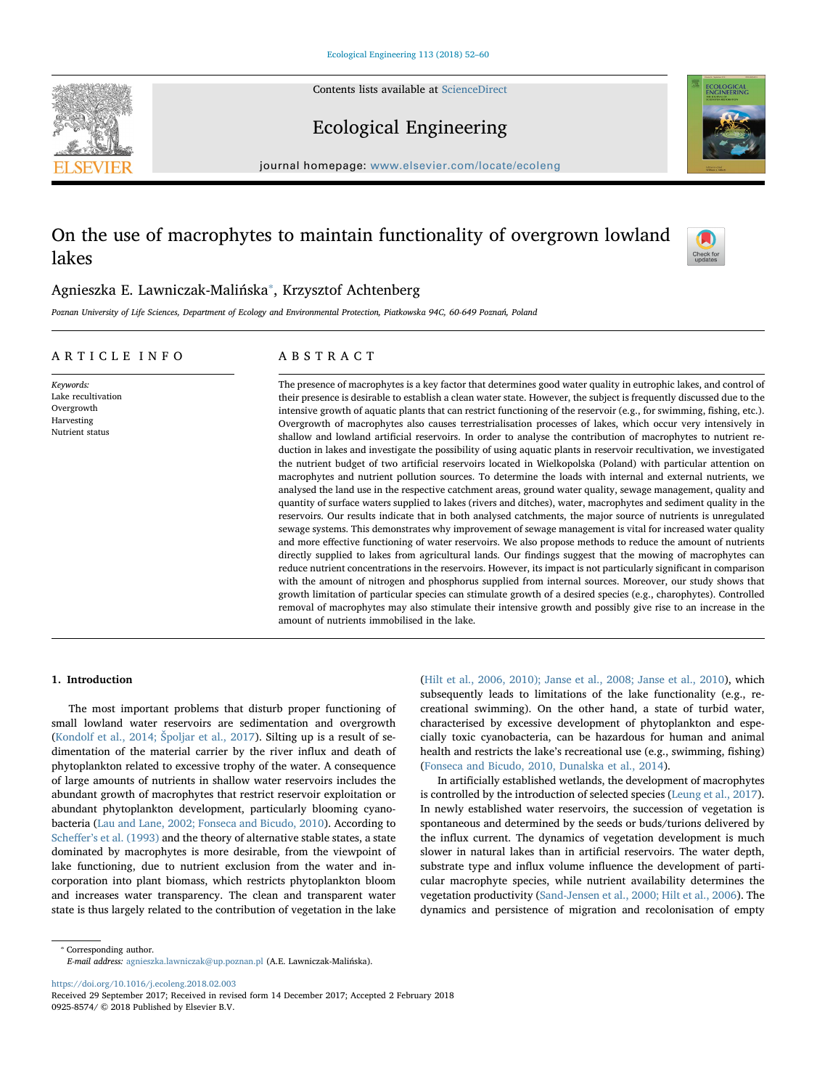Contents lists available at [ScienceDirect](http://www.sciencedirect.com/science/journal/09258574)





## Ecological Engineering

journal homepage: [www.elsevier.com/locate/ecoleng](https://www.elsevier.com/locate/ecoleng)

# On the use of macrophytes to maintain functionality of overgrown lowland lakes



## Agnieszka E. Lawniczak-Malińska[⁎](#page-0-0) , Krzysztof Achtenberg

Poznan University of Life Sciences, Department of Ecology and Environmental Protection, Piatkowska 94C, 60-649 Poznań, Poland

### ARTICLE INFO

Keywords: Lake recultivation Overgrowth Harvesting Nutrient status

## ABSTRACT

The presence of macrophytes is a key factor that determines good water quality in eutrophic lakes, and control of their presence is desirable to establish a clean water state. However, the subject is frequently discussed due to the intensive growth of aquatic plants that can restrict functioning of the reservoir (e.g., for swimming, fishing, etc.). Overgrowth of macrophytes also causes terrestrialisation processes of lakes, which occur very intensively in shallow and lowland artificial reservoirs. In order to analyse the contribution of macrophytes to nutrient reduction in lakes and investigate the possibility of using aquatic plants in reservoir recultivation, we investigated the nutrient budget of two artificial reservoirs located in Wielkopolska (Poland) with particular attention on macrophytes and nutrient pollution sources. To determine the loads with internal and external nutrients, we analysed the land use in the respective catchment areas, ground water quality, sewage management, quality and quantity of surface waters supplied to lakes (rivers and ditches), water, macrophytes and sediment quality in the reservoirs. Our results indicate that in both analysed catchments, the major source of nutrients is unregulated sewage systems. This demonstrates why improvement of sewage management is vital for increased water quality and more effective functioning of water reservoirs. We also propose methods to reduce the amount of nutrients directly supplied to lakes from agricultural lands. Our findings suggest that the mowing of macrophytes can reduce nutrient concentrations in the reservoirs. However, its impact is not particularly significant in comparison with the amount of nitrogen and phosphorus supplied from internal sources. Moreover, our study shows that growth limitation of particular species can stimulate growth of a desired species (e.g., charophytes). Controlled removal of macrophytes may also stimulate their intensive growth and possibly give rise to an increase in the amount of nutrients immobilised in the lake.

#### 1. Introduction

The most important problems that disturb proper functioning of small lowland water reservoirs are sedimentation and overgrowth ([Kondolf et al., 2014;](#page--1-0) Špoljar et al., 2017). Silting up is a result of sedimentation of the material carrier by the river influx and death of phytoplankton related to excessive trophy of the water. A consequence of large amounts of nutrients in shallow water reservoirs includes the abundant growth of macrophytes that restrict reservoir exploitation or abundant phytoplankton development, particularly blooming cyanobacteria [\(Lau and Lane, 2002; Fonseca and Bicudo, 2010](#page--1-1)). According to Scheffer'[s et al. \(1993\)](#page--1-2) and the theory of alternative stable states, a state dominated by macrophytes is more desirable, from the viewpoint of lake functioning, due to nutrient exclusion from the water and incorporation into plant biomass, which restricts phytoplankton bloom and increases water transparency. The clean and transparent water state is thus largely related to the contribution of vegetation in the lake ([Hilt et al., 2006, 2010\); Janse et al., 2008; Janse et al., 2010](#page--1-3)), which subsequently leads to limitations of the lake functionality (e.g., recreational swimming). On the other hand, a state of turbid water, characterised by excessive development of phytoplankton and especially toxic cyanobacteria, can be hazardous for human and animal health and restricts the lake's recreational use (e.g., swimming, fishing) ([Fonseca and Bicudo, 2010, Dunalska et al., 2014\)](#page--1-4).

In artificially established wetlands, the development of macrophytes is controlled by the introduction of selected species ([Leung et al., 2017](#page--1-5)). In newly established water reservoirs, the succession of vegetation is spontaneous and determined by the seeds or buds/turions delivered by the influx current. The dynamics of vegetation development is much slower in natural lakes than in artificial reservoirs. The water depth, substrate type and influx volume influence the development of particular macrophyte species, while nutrient availability determines the vegetation productivity ([Sand-Jensen et al., 2000; Hilt et al., 2006](#page--1-6)). The dynamics and persistence of migration and recolonisation of empty

<span id="page-0-0"></span>⁎ Corresponding author. E-mail address: [agnieszka.lawniczak@up.poznan.pl](mailto:agnieszka.lawniczak@up.poznan.pl) (A.E. Lawniczak-Malińska).

<https://doi.org/10.1016/j.ecoleng.2018.02.003>

Received 29 September 2017; Received in revised form 14 December 2017; Accepted 2 February 2018 0925-8574/ © 2018 Published by Elsevier B.V.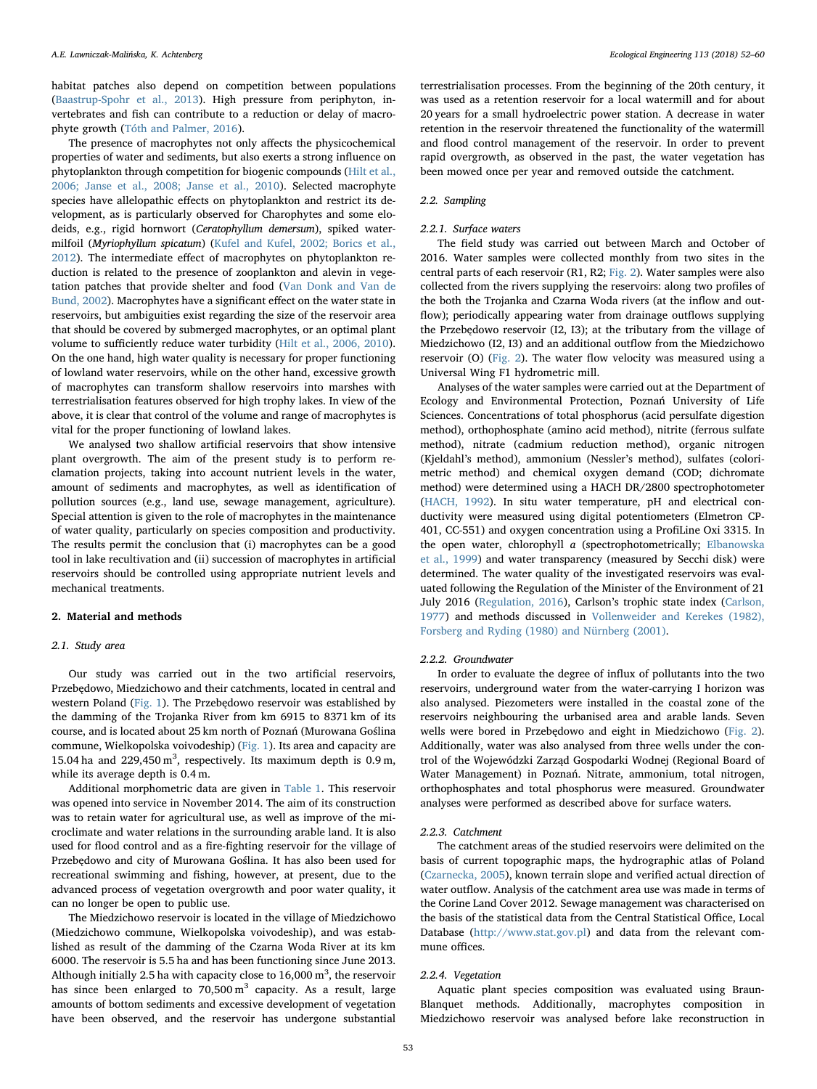habitat patches also depend on competition between populations ([Baastrup-Spohr et al., 2013\)](#page--1-7). High pressure from periphyton, invertebrates and fish can contribute to a reduction or delay of macrophyte growth ([Tóth and Palmer, 2016](#page--1-8)).

The presence of macrophytes not only affects the physicochemical properties of water and sediments, but also exerts a strong influence on phytoplankton through competition for biogenic compounds ([Hilt et al.,](#page--1-3) [2006; Janse et al., 2008; Janse et al., 2010\)](#page--1-3). Selected macrophyte species have allelopathic effects on phytoplankton and restrict its development, as is particularly observed for Charophytes and some elodeids, e.g., rigid hornwort (Ceratophyllum demersum), spiked watermilfoil (Myriophyllum spicatum) [\(Kufel and Kufel, 2002; Borics et al.,](#page--1-9) [2012\)](#page--1-9). The intermediate effect of macrophytes on phytoplankton reduction is related to the presence of zooplankton and alevin in vegetation patches that provide shelter and food [\(Van Donk and Van de](#page--1-10) [Bund, 2002](#page--1-10)). Macrophytes have a significant effect on the water state in reservoirs, but ambiguities exist regarding the size of the reservoir area that should be covered by submerged macrophytes, or an optimal plant volume to sufficiently reduce water turbidity ([Hilt et al., 2006, 2010](#page--1-3)). On the one hand, high water quality is necessary for proper functioning of lowland water reservoirs, while on the other hand, excessive growth of macrophytes can transform shallow reservoirs into marshes with terrestrialisation features observed for high trophy lakes. In view of the above, it is clear that control of the volume and range of macrophytes is vital for the proper functioning of lowland lakes.

We analysed two shallow artificial reservoirs that show intensive plant overgrowth. The aim of the present study is to perform reclamation projects, taking into account nutrient levels in the water, amount of sediments and macrophytes, as well as identification of pollution sources (e.g., land use, sewage management, agriculture). Special attention is given to the role of macrophytes in the maintenance of water quality, particularly on species composition and productivity. The results permit the conclusion that (i) macrophytes can be a good tool in lake recultivation and (ii) succession of macrophytes in artificial reservoirs should be controlled using appropriate nutrient levels and mechanical treatments.

#### 2. Material and methods

#### 2.1. Study area

Our study was carried out in the two artificial reservoirs, Przebędowo, Miedzichowo and their catchments, located in central and western Poland ([Fig. 1](#page--1-11)). The Przebędowo reservoir was established by the damming of the Trojanka River from km 6915 to 8371 km of its course, and is located about 25 km north of Poznań (Murowana Goślina commune, Wielkopolska voivodeship) [\(Fig. 1](#page--1-11)). Its area and capacity are 15.04 ha and  $229,450 \text{ m}^3$ , respectively. Its maximum depth is 0.9 m, while its average depth is 0.4 m.

Additional morphometric data are given in [Table 1](#page--1-12). This reservoir was opened into service in November 2014. The aim of its construction was to retain water for agricultural use, as well as improve of the microclimate and water relations in the surrounding arable land. It is also used for flood control and as a fire-fighting reservoir for the village of Przebędowo and city of Murowana Goślina. It has also been used for recreational swimming and fishing, however, at present, due to the advanced process of vegetation overgrowth and poor water quality, it can no longer be open to public use.

The Miedzichowo reservoir is located in the village of Miedzichowo (Miedzichowo commune, Wielkopolska voivodeship), and was established as result of the damming of the Czarna Woda River at its km 6000. The reservoir is 5.5 ha and has been functioning since June 2013. Although initially 2.5 ha with capacity close to  $16,000\,\mathrm{m}^3,$  the reservoir has since been enlarged to  $70,500 \text{ m}^3$  capacity. As a result, large amounts of bottom sediments and excessive development of vegetation have been observed, and the reservoir has undergone substantial

terrestrialisation processes. From the beginning of the 20th century, it was used as a retention reservoir for a local watermill and for about 20 years for a small hydroelectric power station. A decrease in water retention in the reservoir threatened the functionality of the watermill and flood control management of the reservoir. In order to prevent rapid overgrowth, as observed in the past, the water vegetation has been mowed once per year and removed outside the catchment.

#### 2.2. Sampling

#### 2.2.1. Surface waters

The field study was carried out between March and October of 2016. Water samples were collected monthly from two sites in the central parts of each reservoir (R1, R2; [Fig. 2\)](#page--1-11). Water samples were also collected from the rivers supplying the reservoirs: along two profiles of the both the Trojanka and Czarna Woda rivers (at the inflow and outflow); periodically appearing water from drainage outflows supplying the Przebędowo reservoir (I2, I3); at the tributary from the village of Miedzichowo (I2, I3) and an additional outflow from the Miedzichowo reservoir (O) [\(Fig. 2\)](#page--1-11). The water flow velocity was measured using a Universal Wing F1 hydrometric mill.

Analyses of the water samples were carried out at the Department of Ecology and Environmental Protection, Poznań University of Life Sciences. Concentrations of total phosphorus (acid persulfate digestion method), orthophosphate (amino acid method), nitrite (ferrous sulfate method), nitrate (cadmium reduction method), organic nitrogen (Kjeldahl's method), ammonium (Nessler's method), sulfates (colorimetric method) and chemical oxygen demand (COD; dichromate method) were determined using a HACH DR/2800 spectrophotometer ([HACH, 1992\)](#page--1-13). In situ water temperature, pH and electrical conductivity were measured using digital potentiometers (Elmetron CP-401, CC-551) and oxygen concentration using a ProfiLine Oxi 3315. In the open water, chlorophyll a (spectrophotometrically; [Elbanowska](#page--1-14) [et al., 1999](#page--1-14)) and water transparency (measured by Secchi disk) were determined. The water quality of the investigated reservoirs was evaluated following the Regulation of the Minister of the Environment of 21 July 2016 [\(Regulation, 2016\)](#page--1-15), Carlson's trophic state index ([Carlson,](#page--1-16) [1977\)](#page--1-16) and methods discussed in [Vollenweider and Kerekes \(1982\),](#page--1-17) [Forsberg and Ryding \(1980\) and Nürnberg \(2001\).](#page--1-17)

#### 2.2.2. Groundwater

In order to evaluate the degree of influx of pollutants into the two reservoirs, underground water from the water-carrying I horizon was also analysed. Piezometers were installed in the coastal zone of the reservoirs neighbouring the urbanised area and arable lands. Seven wells were bored in Przebędowo and eight in Miedzichowo [\(Fig. 2](#page--1-11)). Additionally, water was also analysed from three wells under the control of the Wojewódzki Zarząd Gospodarki Wodnej (Regional Board of Water Management) in Poznań. Nitrate, ammonium, total nitrogen, orthophosphates and total phosphorus were measured. Groundwater analyses were performed as described above for surface waters.

#### 2.2.3. Catchment

The catchment areas of the studied reservoirs were delimited on the basis of current topographic maps, the hydrographic atlas of Poland ([Czarnecka, 2005](#page--1-18)), known terrain slope and verified actual direction of water outflow. Analysis of the catchment area use was made in terms of the Corine Land Cover 2012. Sewage management was characterised on the basis of the statistical data from the Central Statistical Office, Local Database ([http://www.stat.gov.pl\)](http://www.stat.gov.pl) and data from the relevant commune offices.

#### 2.2.4. Vegetation

Aquatic plant species composition was evaluated using Braun-Blanquet methods. Additionally, macrophytes composition in Miedzichowo reservoir was analysed before lake reconstruction in